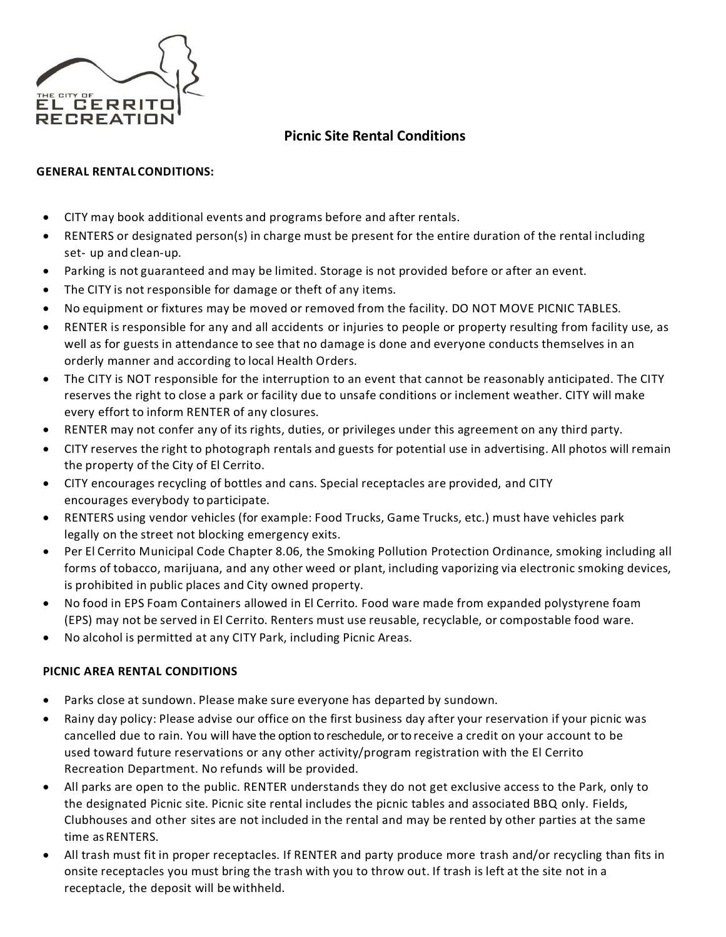

# **Picnic Site Rental Conditions**

### **GENERAL RENTAL CONDITIONS:**

- CITY may book additional events and programs before and after rentals.
- RENTERS or designated person(s) in charge must be present for the entire duration of the rental including set- up and clean-up.
- Parking is not guaranteed and may be limited. Storage is not provided before or after an event.
- The CITY is not responsible for damage or theft of any items.
- No equipment or fixtures may be moved or removed from the facility. DO NOT MOVE PICNIC TABLES.
- RENTER is responsible for any and all accidents or injuries to people or property resulting from facility use, as well as for guests in attendance to see that no damage is done and everyone conducts themselves in an orderly manner and according to local Health Orders.
- The CITY is NOT responsible for the interruption to an event that cannot be reasonably anticipated. The CITY reserves the right to close a park or facility due to unsafe conditions or inclement weather. CITY will make every effort to inform RENTER of any closures.
- RENTER may not confer any of its rights, duties, or privileges under this agreement on any third party.
- CITY reserves the right to photograph rentals and guests for potential use in advertising. All photos will remain the property of the City of El Cerrito.
- CITY encourages recycling of bottles and cans. Special receptacles are provided, and CITY encourages everybody to participate.
- RENTERS using vendor vehicles (for example: Food Trucks, Game Trucks, etc.) must have vehicles park legally on the street not blocking emergency exits.
- Per El Cerrito Municipal Code Chapter 8.06, the Smoking Pollution Protection Ordinance, smoking including all forms of tobacco, marijuana, and any other weed or plant, including vaporizing via electronic smoking devices, is prohibited in public places and City owned property.
- No food in EPS Foam Containers allowed in El Cerrito. Food ware made from expanded polystyrene foam (EPS) may not be served in El Cerrito. Renters must use reusable, recyclable, or compostable food ware.
- No alcohol is permitted at any CITY Park, including Picnic Areas.

### **PICNIC AREA RENTAL CONDITIONS**

- Parks close at sundown. Please make sure everyone has departed by sundown.
- Rainy day policy: Please advise our office on the first business day after your reservation if your picnic was cancelled due to rain. You will have the option to reschedule, or to receive a credit on your account to be used toward future reservations or any other activity/program registration with the El Cerrito Recreation Department. No refunds will be provided.
- All parks are open to the public. RENTER understands they do not get exclusive access to the Park, only to the designated Picnic site. Picnic site rental includes the picnic tables and associated BBQ only. Fields, Clubhouses and other sites are not included in the rental and may be rented by other parties at the same time asRENTERS.
- All trash must fit in proper receptacles. If RENTER and party produce more trash and/or recycling than fits in onsite receptacles you must bring the trash with you to throw out. If trash is left at the site not in a receptacle, the deposit will be withheld.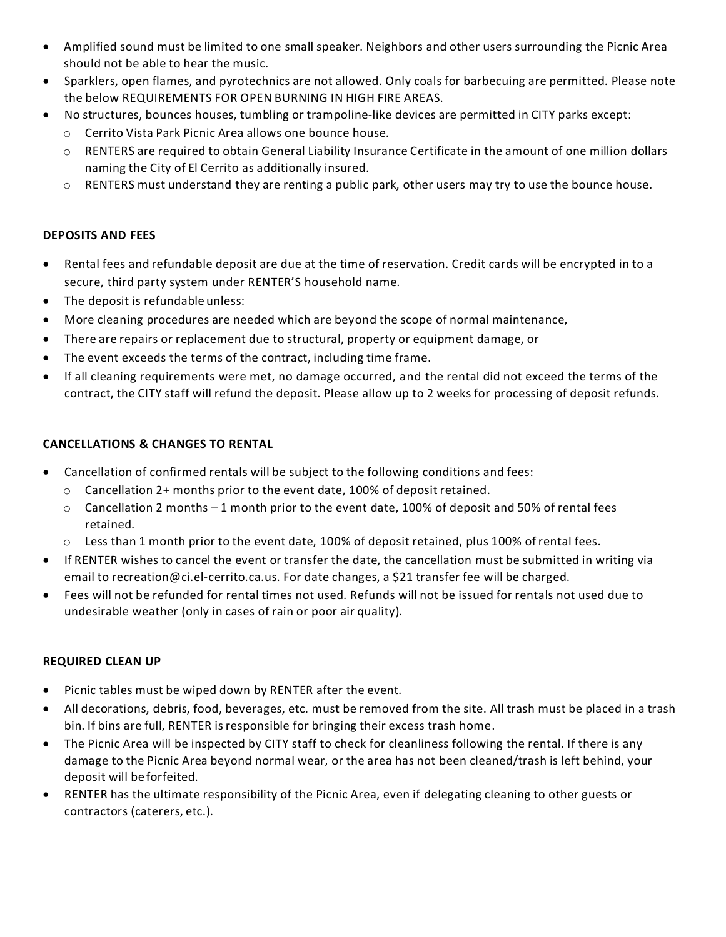- Amplified sound must be limited to one small speaker. Neighbors and other users surrounding the Picnic Area should not be able to hear the music.
- Sparklers, open flames, and pyrotechnics are not allowed. Only coals for barbecuing are permitted. Please note the below REQUIREMENTS FOR OPEN BURNING IN HIGH FIRE AREAS.
- No structures, bounces houses, tumbling or trampoline-like devices are permitted in CITY parks except:
	- o Cerrito Vista Park Picnic Area allows one bounce house.
	- o RENTERS are required to obtain General Liability Insurance Certificate in the amount of one million dollars naming the City of El Cerrito as additionally insured.
	- $\circ$  RENTERS must understand they are renting a public park, other users may try to use the bounce house.

### **DEPOSITS AND FEES**

- Rental fees and refundable deposit are due at the time of reservation. Credit cards will be encrypted in to a secure, third party system under RENTER'S household name.
- The deposit is refundable unless:
- More cleaning procedures are needed which are beyond the scope of normal maintenance,
- There are repairs or replacement due to structural, property or equipment damage, or
- The event exceeds the terms of the contract, including time frame.
- If all cleaning requirements were met, no damage occurred, and the rental did not exceed the terms of the contract, the CITY staff will refund the deposit. Please allow up to 2 weeks for processing of deposit refunds.

## **CANCELLATIONS & CHANGES TO RENTAL**

- Cancellation of confirmed rentals will be subject to the following conditions and fees:
	- $\circ$  Cancellation 2+ months prior to the event date, 100% of deposit retained.
	- $\circ$  Cancellation 2 months 1 month prior to the event date, 100% of deposit and 50% of rental fees retained.
	- $\circ$  Less than 1 month prior to the event date, 100% of deposit retained, plus 100% of rental fees.
- If RENTER wishes to cancel the event or transfer the date, the cancellation must be submitted in writing via email to [recreation@ci.el-cerrito.ca.us.](mailto:recreation@ci.el-cerrito.ca.us) For date changes, a \$21 transfer fee will be charged.
- Fees will not be refunded for rental times not used. Refunds will not be issued for rentals not used due to undesirable weather (only in cases of rain or poor air quality).

## **REQUIRED CLEAN UP**

- Picnic tables must be wiped down by RENTER after the event.
- All decorations, debris, food, beverages, etc. must be removed from the site. All trash must be placed in a trash bin. If bins are full, RENTER is responsible for bringing their excess trash home.
- The Picnic Area will be inspected by CITY staff to check for cleanliness following the rental. If there is any damage to the Picnic Area beyond normal wear, or the area has not been cleaned/trash is left behind, your deposit will be forfeited.
- RENTER has the ultimate responsibility of the Picnic Area, even if delegating cleaning to other guests or contractors (caterers, etc.).